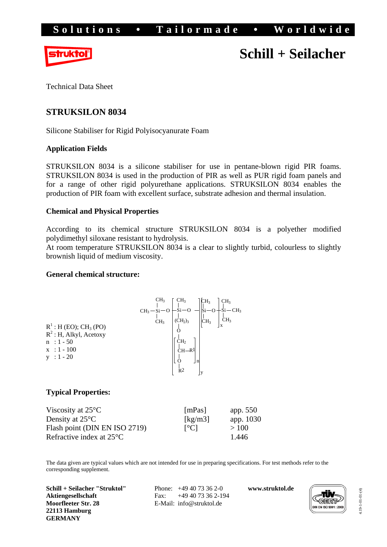

# **Schill + Seilacher**

Technical Data Sheet

## **STRUKSILON 8034**

Silicone Stabiliser for Rigid Polyisocyanurate Foam

## **Application Fields**

STRUKSILON 8034 is a silicone stabiliser for use in pentane-blown rigid PIR foams. STRUKSILON 8034 is used in the production of PIR as well as PUR rigid foam panels and for a range of other rigid polyurethane applications. STRUKSILON 8034 enables the production of PIR foam with excellent surface, substrate adhesion and thermal insulation.

## **Chemical and Physical Properties**

According to its chemical structure STRUKSILON 8034 is a polyether modified polydimethyl siloxane resistant to hydrolysis.

At room temperature STRUKSILON 8034 is a clear to slightly turbid, colourless to slightly brownish liquid of medium viscosity.

## **General chemical structure:**



## **Typical Properties:**

| Viscosity at $25^{\circ}$ C        | [mPas]                    | app. $550$ |
|------------------------------------|---------------------------|------------|
| Density at $25^{\circ}$ C          | [ $kg/m3$ ]               | app. 1030  |
| Flash point (DIN EN ISO 2719)      | $\lceil{^{\circ}C}\rceil$ | >100       |
| Refractive index at $25^{\circ}$ C |                           | 1.446      |

The data given are typical values which are not intended for use in preparing specifications. For test methods refer to the corresponding supplement.

**Schill + Seilacher "Struktol" Aktiengesellschaft Moorfleeter Str. 28 22113 Hamburg GERMANY** 

 Phone: +49 40 73 36 2-0 Fax: +49 40 73 36 2-194 E-Mail: info@struktol.de

**www.struktol.de** 



4.19-1-01-01-(4) 4.19-1-01-01-(4